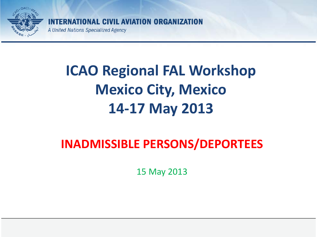

AL CIVIL AVIATION ORGANIZATION

A United Nations Specialized Agency

# **ICAO Regional FAL Workshop Mexico City, Mexico 14-17 May 2013**

#### **INADMISSIBLE PERSONS/DEPORTEES**

15 May 2013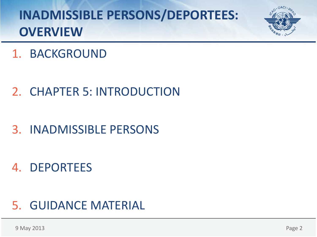

1. BACKGROUND

- 2. CHAPTER 5: INTRODUCTION
- 3. INADMISSIBLE PERSONS
- 4. DEPORTEES

#### 5. GUIDANCE MATERIAL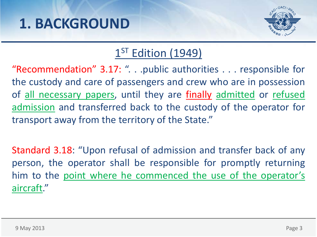

#### 1<sup>ST</sup> Edition (1949)

"Recommendation" 3.17: ". . .public authorities . . . responsible for the custody and care of passengers and crew who are in possession of all necessary papers, until they are finally admitted or refused admission and transferred back to the custody of the operator for transport away from the territory of the State."

Standard 3.18: "Upon refusal of admission and transfer back of any person, the operator shall be responsible for promptly returning him to the point where he commenced the use of the operator's aircraft."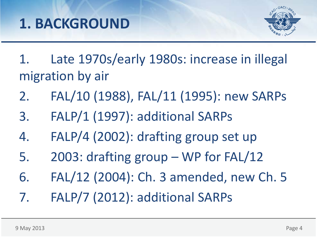

- 1. Late 1970s/early 1980s: increase in illegal migration by air
- 2. FAL/10 (1988), FAL/11 (1995): new SARPs
- 3. FALP/1 (1997): additional SARPs
- 4. FALP/4 (2002): drafting group set up
- 5. 2003: drafting group WP for FAL/12
- 6. FAL/12 (2004): Ch. 3 amended, new Ch. 5
- 7. FALP/7 (2012): additional SARPs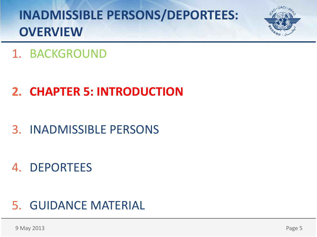

#### 1. BACKGROUND

### **2. CHAPTER 5: INTRODUCTION**

### 3. INADMISSIBLE PERSONS

#### 4. DEPORTEES

#### 5. GUIDANCE MATERIAL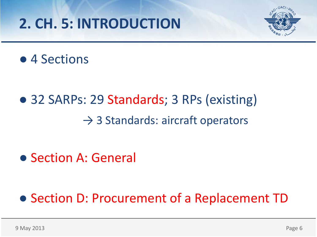# **2. CH. 5: INTRODUCTION**



#### ● 4 Sections

# ● 32 SARPs: 29 Standards; 3 RPs (existing)  $\rightarrow$  3 Standards: aircraft operators

#### ● Section A: General

### ● Section D: Procurement of a Replacement TD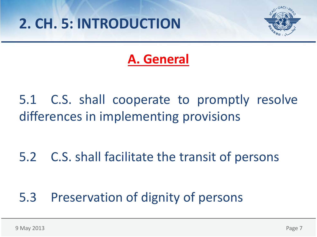

### **A. General**

5.1 C.S. shall cooperate to promptly resolve differences in implementing provisions

5.2 C.S. shall facilitate the transit of persons

#### 5.3 Preservation of dignity of persons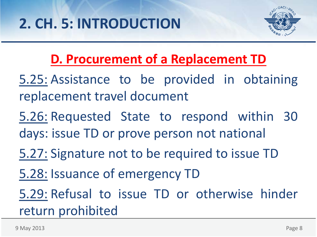

## **D. Procurement of a Replacement TD**

- 5.25: Assistance to be provided in obtaining replacement travel document
- 5.26: Requested State to respond within 30 days: issue TD or prove person not national
- 5.27: Signature not to be required to issue TD
- 5.28: Issuance of emergency TD
- 5.29: Refusal to issue TD or otherwise hinder return prohibited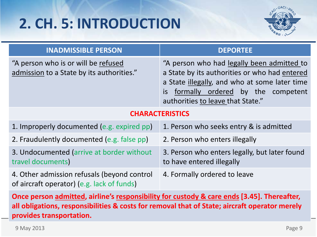# **2. CH. 5: INTRODUCTION**



| <b>INADMISSIBLE PERSON</b>                                                                                                                                                                                              | <b>DEPORTEE</b>                                                                                                                                                                                                              |
|-------------------------------------------------------------------------------------------------------------------------------------------------------------------------------------------------------------------------|------------------------------------------------------------------------------------------------------------------------------------------------------------------------------------------------------------------------------|
| "A person who is or will be refused<br>admission to a State by its authorities."                                                                                                                                        | "A person who had legally been admitted to<br>a State by its authorities or who had entered<br>a State illegally, and who at some later time<br>formally ordered by the competent<br>is<br>authorities to leave that State." |
| <b>CHARACTERISTICS</b>                                                                                                                                                                                                  |                                                                                                                                                                                                                              |
| 1. Improperly documented (e.g. expired pp)                                                                                                                                                                              | 1. Person who seeks entry & is admitted                                                                                                                                                                                      |
| 2. Fraudulently documented (e.g. false pp)                                                                                                                                                                              | 2. Person who enters illegally                                                                                                                                                                                               |
| 3. Undocumented (arrive at border without<br>travel documents)                                                                                                                                                          | 3. Person who enters legally, but later found<br>to have entered illegally                                                                                                                                                   |
| 4. Other admission refusals (beyond control<br>of aircraft operator) (e.g. lack of funds)                                                                                                                               | 4. Formally ordered to leave                                                                                                                                                                                                 |
| Once person admitted, airline's responsibility for custody & care ends [3.45]. Thereafter,<br>all obligations, responsibilities & costs for removal that of State; aircraft operator merely<br>provides transportation. |                                                                                                                                                                                                                              |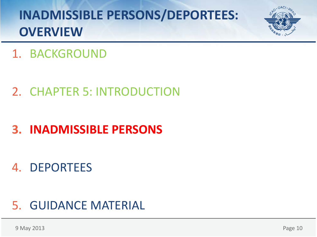

#### 1. BACKGROUND

#### 2. CHAPTER 5: INTRODUCTION

## **3. INADMISSIBLE PERSONS**

#### 4. DEPORTEES

#### 5. GUIDANCE MATERIAL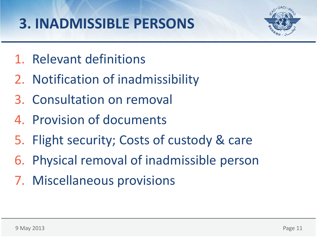

- 1. Relevant definitions
- 2. Notification of inadmissibility
- 3. Consultation on removal
- 4. Provision of documents
- 5. Flight security; Costs of custody & care
- 6. Physical removal of inadmissible person
- 7. Miscellaneous provisions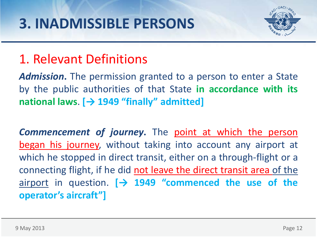

### 1. Relevant Definitions

*Admission***.** The permission granted to a person to enter a State by the public authorities of that State **in accordance with its national laws**. **[→ 1949 "finally" admitted]**

*Commencement of journey***.** The point at which the person began his journey, without taking into account any airport at which he stopped in direct transit, either on a through-flight or a connecting flight, if he did not leave the direct transit area of the airport in question. **[→ 1949 "commenced the use of the operator's aircraft"]**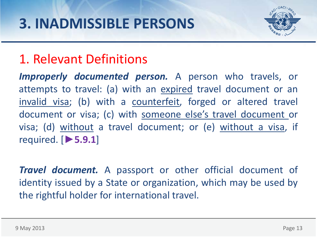

### 1. Relevant Definitions

*Improperly documented person.* A person who travels, or attempts to travel: (a) with an expired travel document or an invalid visa; (b) with a counterfeit, forged or altered travel document or visa; (c) with someone else's travel document or visa; (d) without a travel document; or (e) without a visa, if required. [**►5.9.1**]

*Travel document.* A passport or other official document of identity issued by a State or organization, which may be used by the rightful holder for international travel.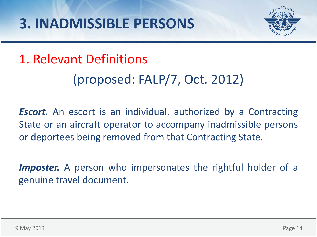

## 1. Relevant Definitions

## (proposed: FALP/7, Oct. 2012)

*Escort.* An escort is an individual, authorized by a Contracting State or an aircraft operator to accompany inadmissible persons or deportees being removed from that Contracting State.

*Imposter.* A person who impersonates the rightful holder of a genuine travel document.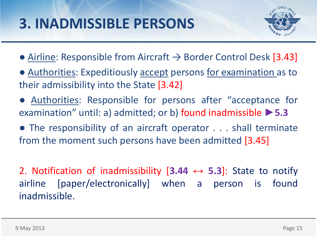

- $\bullet$  Airline: Responsible from Aircraft  $\rightarrow$  Border Control Desk [3.43]
- Authorities: Expeditiously accept persons for examination as to their admissibility into the State [3.42]
- Authorities: Responsible for persons after "acceptance for examination" until: a) admitted; or b) found inadmissible **►5.3**
- The responsibility of an aircraft operator . . . shall terminate from the moment such persons have been admitted [3.45]

2. Notification of inadmissibility [**3.44 ↔ 5.3**]: State to notify airline [paper/electronically] when a person is found inadmissible.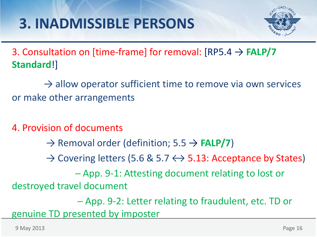

3. Consultation on [time-frame] for removal: [RP5.4 → **FALP/7 Standard**!]

 $\rightarrow$  allow operator sufficient time to remove via own services or make other arrangements

4. Provision of documents

→ Removal order (definition; 5.5 → **FALP/7**)

 $\rightarrow$  Covering letters (5.6 & 5.7  $\leftrightarrow$  5.13: Acceptance by States)

─ App. 9-1: Attesting document relating to lost or destroyed travel document

─ App. 9-2: Letter relating to fraudulent, etc. TD or genuine TD presented by imposter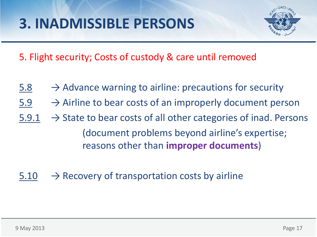

5. Flight security; Costs of custody & care until removed

- $5.8 \rightarrow$  Advance warning to airline: precautions for security
- $5.9 \rightarrow$  Airline to bear costs of an improperly document person
- $5.9.1 \rightarrow$  State to bear costs of all other categories of inad. Persons (document problems beyond airline's expertise; reasons other than **improper documents**)
- $5.10 \rightarrow$  Recovery of transportation costs by airline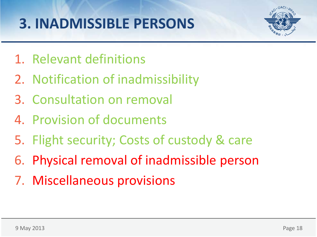

- 1. Relevant definitions
- 2. Notification of inadmissibility
- 3. Consultation on removal
- 4. Provision of documents
- 5. Flight security; Costs of custody & care
- 6. Physical removal of inadmissible person
- 7. Miscellaneous provisions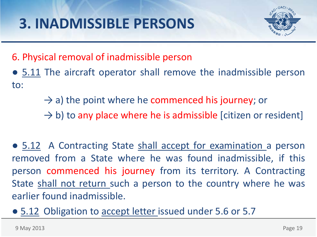

6. Physical removal of inadmissible person

- 5.11 The aircraft operator shall remove the inadmissible person to:
	- $\rightarrow$  a) the point where he commenced his journey; or
	- $\rightarrow$  b) to any place where he is admissible [citizen or resident]
- 5.12 A Contracting State shall accept for examination a person removed from a State where he was found inadmissible, if this person commenced his journey from its territory. A Contracting State shall not return such a person to the country where he was earlier found inadmissible.
- 5.12 Obligation to accept letter issued under 5.6 or 5.7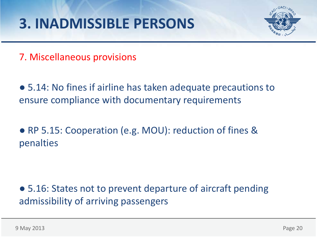

7. Miscellaneous provisions

● 5.14: No fines if airline has taken adequate precautions to ensure compliance with documentary requirements

● RP 5.15: Cooperation (e.g. MOU): reduction of fines & penalties

● 5.16: States not to prevent departure of aircraft pending admissibility of arriving passengers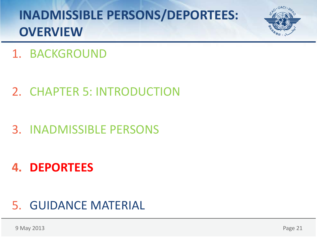

#### 1. BACKGROUND

#### 2. CHAPTER 5: INTRODUCTION

#### 3. INADMISSIBLE PERSONS

#### **4. DEPORTEES**

#### 5. GUIDANCE MATERIAL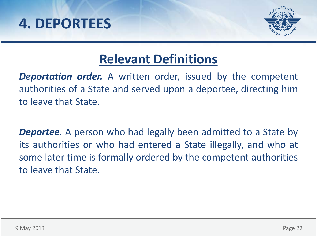



### **Relevant Definitions**

*Deportation order.* A written order, issued by the competent authorities of a State and served upon a deportee, directing him to leave that State.

*Deportee.* A person who had legally been admitted to a State by its authorities or who had entered a State illegally, and who at some later time is formally ordered by the competent authorities to leave that State.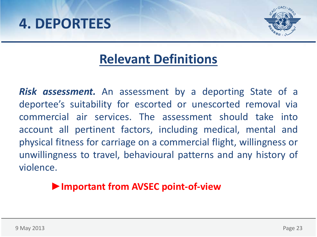### **4. DEPORTEES**



### **Relevant Definitions**

*Risk assessment.* An assessment by a deporting State of a deportee's suitability for escorted or unescorted removal via commercial air services. The assessment should take into account all pertinent factors, including medical, mental and physical fitness for carriage on a commercial flight, willingness or unwillingness to travel, behavioural patterns and any history of violence.

#### **►Important from AVSEC point-of-view**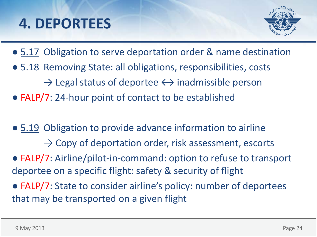## **4. DEPORTEES**



- 5.17 Obligation to serve deportation order & name destination
- 5.18 Removing State: all obligations, responsibilities, costs
	- $\rightarrow$  Legal status of deportee  $\leftrightarrow$  inadmissible person
- FALP/7: 24-hour point of contact to be established
- 5.19 Obligation to provide advance information to airline
	- $\rightarrow$  Copy of deportation order, risk assessment, escorts
- FALP/7: Airline/pilot-in-command: option to refuse to transport deportee on a specific flight: safety & security of flight
- FALP/7: State to consider airline's policy: number of deportees that may be transported on a given flight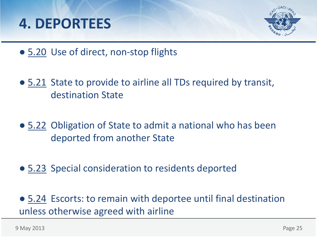



- 5.20 Use of direct, non-stop flights
- 5.21 State to provide to airline all TDs required by transit, destination State
- 5.22 Obligation of State to admit a national who has been deported from another State
- 5.23 Special consideration to residents deported
- 5.24 Escorts: to remain with deportee until final destination unless otherwise agreed with airline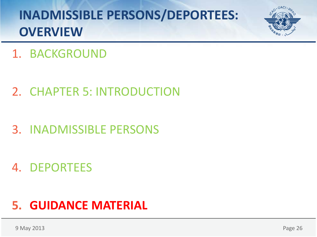

#### 1. BACKGROUND

- 2. CHAPTER 5: INTRODUCTION
- 3. INADMISSIBLE PERSONS

#### 4. DEPORTEES

#### **5. GUIDANCE MATERIAL**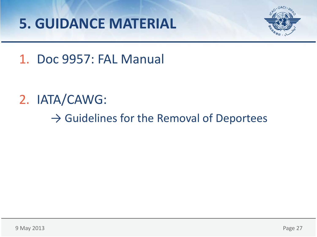# **5. GUIDANCE MATERIAL**



#### 1. Doc 9957: FAL Manual

## 2. IATA/CAWG:

 $\rightarrow$  Guidelines for the Removal of Deportees